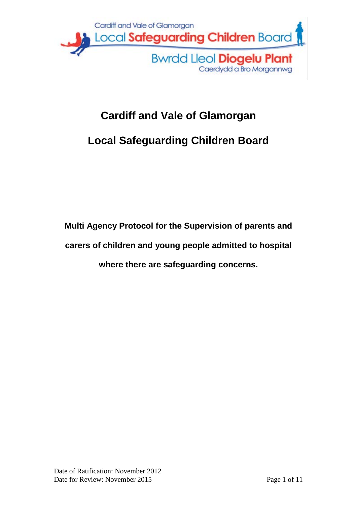

# **Cardiff and Vale of Glamorgan**

# **Local Safeguarding Children Board**

**Multi Agency Protocol for the Supervision of parents and carers of children and young people admitted to hospital where there are safeguarding concerns.**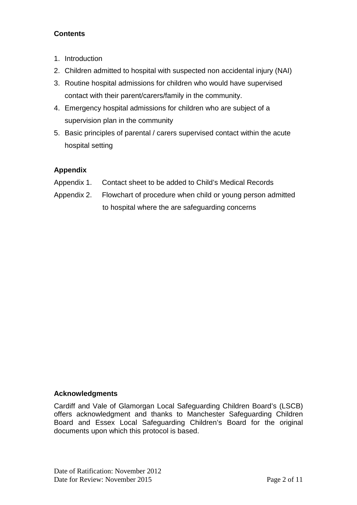### **Contents**

- 1. Introduction
- 2. Children admitted to hospital with suspected non accidental injury (NAI)
- 3. Routine hospital admissions for children who would have supervised contact with their parent/carers/family in the community.
- 4. Emergency hospital admissions for children who are subject of a supervision plan in the community
- 5. Basic principles of parental / carers supervised contact within the acute hospital setting

## **Appendix**

- Appendix 1. Contact sheet to be added to Child's Medical Records
- Appendix 2. Flowchart of procedure when child or young person admitted to hospital where the are safeguarding concerns

### **Acknowledgments**

Cardiff and Vale of Glamorgan Local Safeguarding Children Board's (LSCB) offers acknowledgment and thanks to Manchester Safeguarding Children Board and Essex Local Safeguarding Children's Board for the original documents upon which this protocol is based.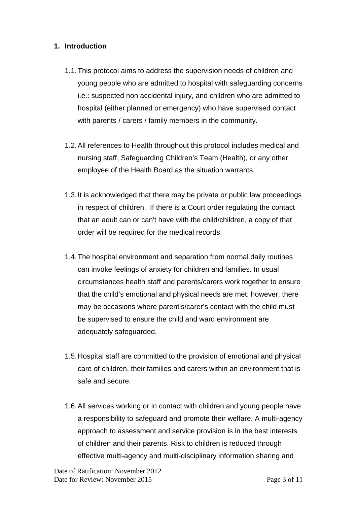#### **1. Introduction**

- 1.1.This protocol aims to address the supervision needs of children and young people who are admitted to hospital with safeguarding concerns i.e.: suspected non accidental injury, and children who are admitted to hospital (either planned or emergency) who have supervised contact with parents / carers / family members in the community.
- 1.2.All references to Health throughout this protocol includes medical and nursing staff, Safeguarding Children's Team (Health), or any other employee of the Health Board as the situation warrants.
- 1.3.It is acknowledged that there may be private or public law proceedings in respect of children. If there is a Court order regulating the contact that an adult can or can't have with the child/children, a copy of that order will be required for the medical records.
- 1.4.The hospital environment and separation from normal daily routines can invoke feelings of anxiety for children and families. In usual circumstances health staff and parents/carers work together to ensure that the child's emotional and physical needs are met; however, there may be occasions where parent's/carer's contact with the child must be supervised to ensure the child and ward environment are adequately safeguarded.
- 1.5.Hospital staff are committed to the provision of emotional and physical care of children, their families and carers within an environment that is safe and secure.
- 1.6.All services working or in contact with children and young people have a responsibility to safeguard and promote their welfare. A multi-agency approach to assessment and service provision is in the best interests of children and their parents. Risk to children is reduced through effective multi-agency and multi-disciplinary information sharing and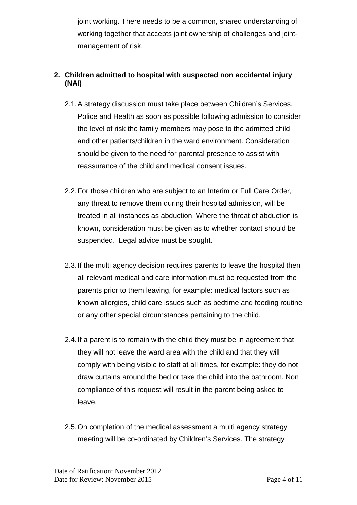joint working. There needs to be a common, shared understanding of working together that accepts joint ownership of challenges and jointmanagement of risk.

### **2. Children admitted to hospital with suspected non accidental injury (NAI)**

- 2.1.A strategy discussion must take place between Children's Services, Police and Health as soon as possible following admission to consider the level of risk the family members may pose to the admitted child and other patients/children in the ward environment. Consideration should be given to the need for parental presence to assist with reassurance of the child and medical consent issues.
- 2.2.For those children who are subject to an Interim or Full Care Order, any threat to remove them during their hospital admission, will be treated in all instances as abduction. Where the threat of abduction is known, consideration must be given as to whether contact should be suspended. Legal advice must be sought.
- 2.3.If the multi agency decision requires parents to leave the hospital then all relevant medical and care information must be requested from the parents prior to them leaving, for example: medical factors such as known allergies, child care issues such as bedtime and feeding routine or any other special circumstances pertaining to the child.
- 2.4.If a parent is to remain with the child they must be in agreement that they will not leave the ward area with the child and that they will comply with being visible to staff at all times, for example: they do not draw curtains around the bed or take the child into the bathroom. Non compliance of this request will result in the parent being asked to leave.
- 2.5.On completion of the medical assessment a multi agency strategy meeting will be co-ordinated by Children's Services. The strategy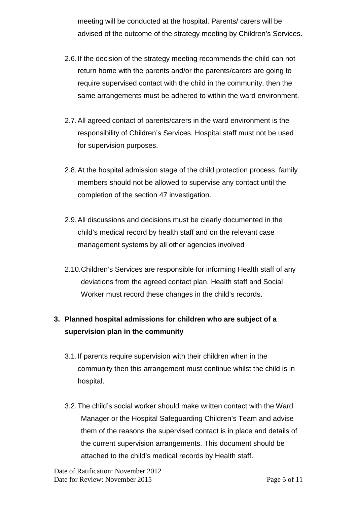meeting will be conducted at the hospital. Parents/ carers will be advised of the outcome of the strategy meeting by Children's Services.

- 2.6.If the decision of the strategy meeting recommends the child can not return home with the parents and/or the parents/carers are going to require supervised contact with the child in the community, then the same arrangements must be adhered to within the ward environment.
- 2.7.All agreed contact of parents/carers in the ward environment is the responsibility of Children's Services. Hospital staff must not be used for supervision purposes.
- 2.8.At the hospital admission stage of the child protection process, family members should not be allowed to supervise any contact until the completion of the section 47 investigation.
- 2.9.All discussions and decisions must be clearly documented in the child's medical record by health staff and on the relevant case management systems by all other agencies involved
- 2.10.Children's Services are responsible for informing Health staff of any deviations from the agreed contact plan. Health staff and Social Worker must record these changes in the child's records.

# **3. Planned hospital admissions for children who are subject of a supervision plan in the community**

- 3.1.If parents require supervision with their children when in the community then this arrangement must continue whilst the child is in hospital.
- 3.2.The child's social worker should make written contact with the Ward Manager or the Hospital Safeguarding Children's Team and advise them of the reasons the supervised contact is in place and details of the current supervision arrangements. This document should be attached to the child's medical records by Health staff.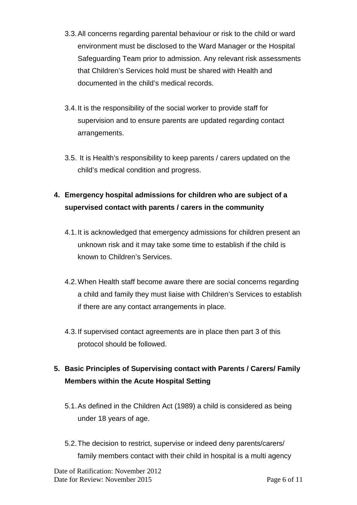- 3.3.All concerns regarding parental behaviour or risk to the child or ward environment must be disclosed to the Ward Manager or the Hospital Safeguarding Team prior to admission. Any relevant risk assessments that Children's Services hold must be shared with Health and documented in the child's medical records.
- 3.4.It is the responsibility of the social worker to provide staff for supervision and to ensure parents are updated regarding contact arrangements.
- 3.5. It is Health's responsibility to keep parents / carers updated on the child's medical condition and progress.

# **4. Emergency hospital admissions for children who are subject of a supervised contact with parents / carers in the community**

- 4.1.It is acknowledged that emergency admissions for children present an unknown risk and it may take some time to establish if the child is known to Children's Services.
- 4.2.When Health staff become aware there are social concerns regarding a child and family they must liaise with Children's Services to establish if there are any contact arrangements in place.
- 4.3.If supervised contact agreements are in place then part 3 of this protocol should be followed.

## **5. Basic Principles of Supervising contact with Parents / Carers/ Family Members within the Acute Hospital Setting**

- 5.1.As defined in the Children Act (1989) a child is considered as being under 18 years of age.
- 5.2.The decision to restrict, supervise or indeed deny parents/carers/ family members contact with their child in hospital is a multi agency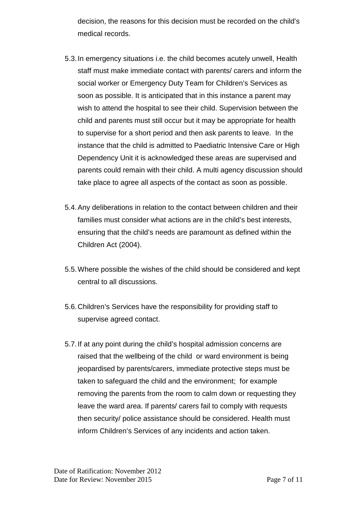decision, the reasons for this decision must be recorded on the child's medical records.

- 5.3.In emergency situations i.e. the child becomes acutely unwell, Health staff must make immediate contact with parents/ carers and inform the social worker or Emergency Duty Team for Children's Services as soon as possible. It is anticipated that in this instance a parent may wish to attend the hospital to see their child. Supervision between the child and parents must still occur but it may be appropriate for health to supervise for a short period and then ask parents to leave. In the instance that the child is admitted to Paediatric Intensive Care or High Dependency Unit it is acknowledged these areas are supervised and parents could remain with their child. A multi agency discussion should take place to agree all aspects of the contact as soon as possible.
- 5.4.Any deliberations in relation to the contact between children and their families must consider what actions are in the child's best interests, ensuring that the child's needs are paramount as defined within the Children Act (2004).
- 5.5.Where possible the wishes of the child should be considered and kept central to all discussions.
- 5.6.Children's Services have the responsibility for providing staff to supervise agreed contact.
- 5.7.If at any point during the child's hospital admission concerns are raised that the wellbeing of the child or ward environment is being jeopardised by parents/carers, immediate protective steps must be taken to safeguard the child and the environment; for example removing the parents from the room to calm down or requesting they leave the ward area. If parents/ carers fail to comply with requests then security/ police assistance should be considered. Health must inform Children's Services of any incidents and action taken.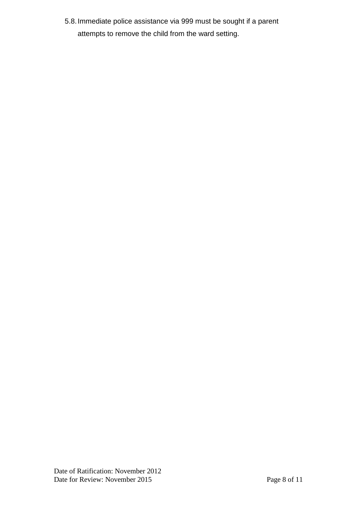5.8.Immediate police assistance via 999 must be sought if a parent attempts to remove the child from the ward setting.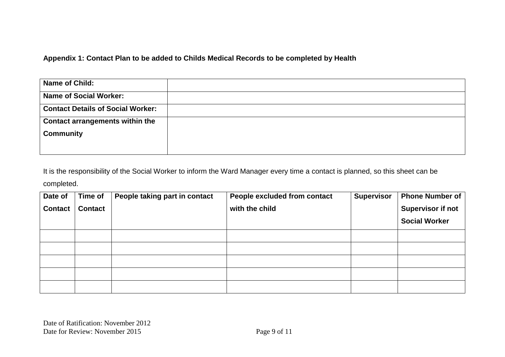#### **Appendix 1: Contact Plan to be added to Childs Medical Records to be completed by Health**

| Name of Child:                           |  |
|------------------------------------------|--|
| <b>Name of Social Worker:</b>            |  |
| <b>Contact Details of Social Worker:</b> |  |
| <b>Contact arrangements within the</b>   |  |
| <b>Community</b>                         |  |
|                                          |  |

It is the responsibility of the Social Worker to inform the Ward Manager every time a contact is planned, so this sheet can be completed.

| Date of        | Time of        | People taking part in contact | People excluded from contact | <b>Supervisor</b> | <b>Phone Number of</b>   |
|----------------|----------------|-------------------------------|------------------------------|-------------------|--------------------------|
| <b>Contact</b> | <b>Contact</b> |                               | with the child               |                   | <b>Supervisor if not</b> |
|                |                |                               |                              |                   | <b>Social Worker</b>     |
|                |                |                               |                              |                   |                          |
|                |                |                               |                              |                   |                          |
|                |                |                               |                              |                   |                          |
|                |                |                               |                              |                   |                          |
|                |                |                               |                              |                   |                          |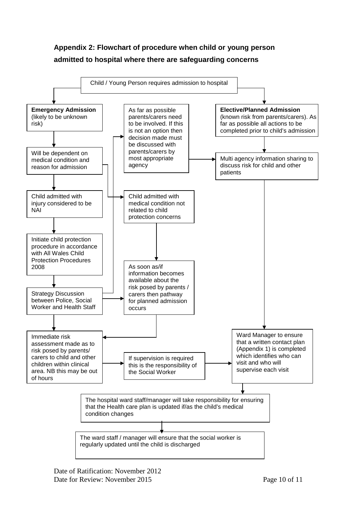## **Appendix 2: Flowchart of procedure when child or young person admitted to hospital where there are safeguarding concerns**